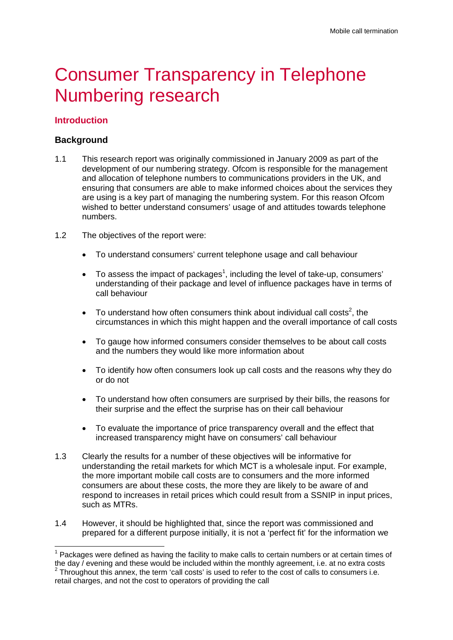# **Consumer Transparency in Telephone** Numbering research

# **Introduction**

# **Background**

 $\overline{a}$ 

- 1.1 This research report was originally commissioned in January 2009 as part of the development of our numbering strategy. Ofcom is responsible for the management and allocation of telephone numbers to communications providers in the UK, and ensuring that consumers are able to make informed choices about the services they are using is a key part of managing the numbering system. For this reason Ofcom wished to better understand consumers' usage of and attitudes towards telephone numbers.
- 1.2 The objectives of the report were:
	- To understand consumers' current telephone usage and call behaviour
	- $\bullet$  To assess the impact of packages<sup>1</sup>, including the level of take-up, consumers' understanding of their package and level of influence packages have in terms of call behaviour
	- To understand how often consumers think about individual call costs<sup>2</sup>, the circumstances in which this might happen and the overall importance of call costs
	- To gauge how informed consumers consider themselves to be about call costs and the numbers they would like more information about
	- To identify how often consumers look up call costs and the reasons why they do or do not
	- To understand how often consumers are surprised by their bills, the reasons for their surprise and the effect the surprise has on their call behaviour
	- To evaluate the importance of price transparency overall and the effect that increased transparency might have on consumers' call behaviour
- 1.3 Clearly the results for a number of these objectives will be informative for understanding the retail markets for which MCT is a wholesale input. For example, the more important mobile call costs are to consumers and the more informed consumers are about these costs, the more they are likely to be aware of and respond to increases in retail prices which could result from a SSNIP in input prices, such as MTRs.
- 1.4 However, it should be highlighted that, since the report was commissioned and prepared for a different purpose initially, it is not a 'perfect fit' for the information we

 $1$  Packages were defined as having the facility to make calls to certain numbers or at certain times of the day / evening and these would be included within the monthly agreement, i.e. at no extra costs 2 <sup>2</sup> Throughout this annex, the term 'call costs' is used to refer to the cost of calls to consumers i.e. retail charges, and not the cost to operators of providing the call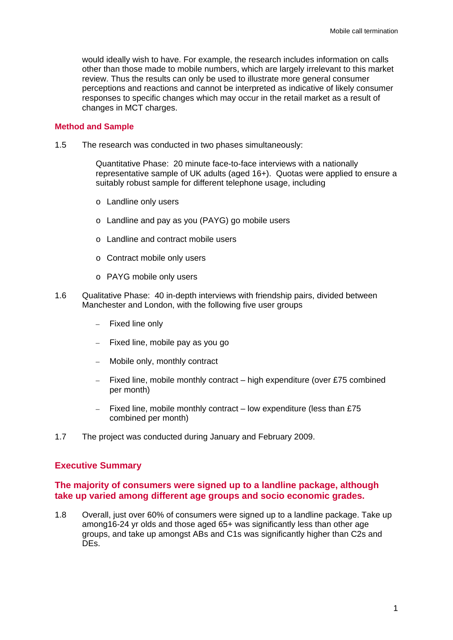would ideally wish to have. For example, the research includes information on calls other than those made to mobile numbers, which are largely irrelevant to this market review. Thus the results can only be used to illustrate more general consumer perceptions and reactions and cannot be interpreted as indicative of likely consumer responses to specific changes which may occur in the retail market as a result of changes in MCT charges.

#### **Method and Sample**

1.5 The research was conducted in two phases simultaneously:

Quantitative Phase: 20 minute face-to-face interviews with a nationally representative sample of UK adults (aged 16+). Quotas were applied to ensure a suitably robust sample for different telephone usage, including

- o Landline only users
- o Landline and pay as you (PAYG) go mobile users
- o Landline and contract mobile users
- o Contract mobile only users
- o PAYG mobile only users
- 1.6 Qualitative Phase: 40 in-depth interviews with friendship pairs, divided between Manchester and London, with the following five user groups
	- Fixed line only
	- Fixed line, mobile pay as you go
	- Mobile only, monthly contract
	- $-$  Fixed line, mobile monthly contract  $-$  high expenditure (over £75 combined per month)
	- Fixed line, mobile monthly contract low expenditure (less than £75 combined per month)
- 1.7 The project was conducted during January and February 2009.

## **Executive Summary**

## **The majority of consumers were signed up to a landline package, although take up varied among different age groups and socio economic grades.**

1.8 Overall, just over 60% of consumers were signed up to a landline package. Take up among16-24 yr olds and those aged 65+ was significantly less than other age groups, and take up amongst ABs and C1s was significantly higher than C2s and DEs.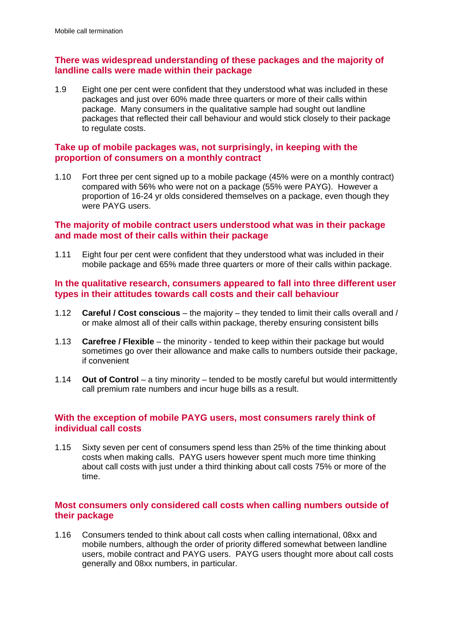# **There was widespread understanding of these packages and the majority of landline calls were made within their package**

1.9 Eight one per cent were confident that they understood what was included in these packages and just over 60% made three quarters or more of their calls within package. Many consumers in the qualitative sample had sought out landline packages that reflected their call behaviour and would stick closely to their package to regulate costs.

# **Take up of mobile packages was, not surprisingly, in keeping with the proportion of consumers on a monthly contract**

1.10 Fort three per cent signed up to a mobile package (45% were on a monthly contract) compared with 56% who were not on a package (55% were PAYG). However a proportion of 16-24 yr olds considered themselves on a package, even though they were PAYG users.

# **The majority of mobile contract users understood what was in their package and made most of their calls within their package**

1.11 Eight four per cent were confident that they understood what was included in their mobile package and 65% made three quarters or more of their calls within package.

## **In the qualitative research, consumers appeared to fall into three different user types in their attitudes towards call costs and their call behaviour**

- 1.12 **Careful / Cost conscious** the majority they tended to limit their calls overall and / or make almost all of their calls within package, thereby ensuring consistent bills
- 1.13 **Carefree / Flexible** the minority tended to keep within their package but would sometimes go over their allowance and make calls to numbers outside their package, if convenient
- 1.14 **Out of Control** a tiny minority tended to be mostly careful but would intermittently call premium rate numbers and incur huge bills as a result.

# **With the exception of mobile PAYG users, most consumers rarely think of individual call costs**

1.15 Sixty seven per cent of consumers spend less than 25% of the time thinking about costs when making calls. PAYG users however spent much more time thinking about call costs with just under a third thinking about call costs 75% or more of the time.

# **Most consumers only considered call costs when calling numbers outside of their package**

1.16 Consumers tended to think about call costs when calling international, 08xx and mobile numbers, although the order of priority differed somewhat between landline users, mobile contract and PAYG users. PAYG users thought more about call costs generally and 08xx numbers, in particular.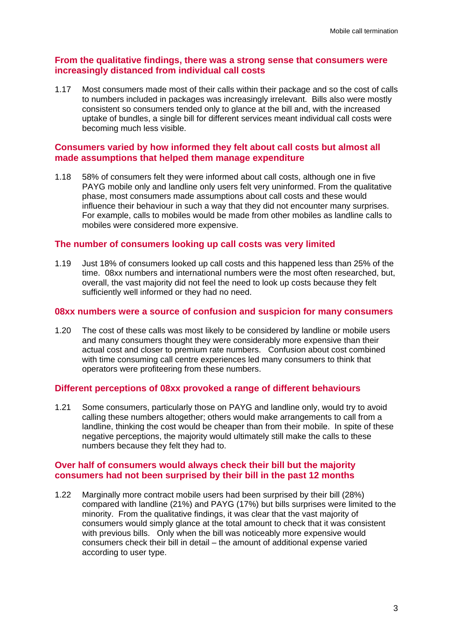# **From the qualitative findings, there was a strong sense that consumers were increasingly distanced from individual call costs**

1.17 Most consumers made most of their calls within their package and so the cost of calls to numbers included in packages was increasingly irrelevant. Bills also were mostly consistent so consumers tended only to glance at the bill and, with the increased uptake of bundles, a single bill for different services meant individual call costs were becoming much less visible.

# **Consumers varied by how informed they felt about call costs but almost all made assumptions that helped them manage expenditure**

1.18 58% of consumers felt they were informed about call costs, although one in five PAYG mobile only and landline only users felt very uninformed. From the qualitative phase, most consumers made assumptions about call costs and these would influence their behaviour in such a way that they did not encounter many surprises. For example, calls to mobiles would be made from other mobiles as landline calls to mobiles were considered more expensive.

## **The number of consumers looking up call costs was very limited**

1.19 Just 18% of consumers looked up call costs and this happened less than 25% of the time. 08xx numbers and international numbers were the most often researched, but, overall, the vast majority did not feel the need to look up costs because they felt sufficiently well informed or they had no need.

## **08xx numbers were a source of confusion and suspicion for many consumers**

1.20 The cost of these calls was most likely to be considered by landline or mobile users and many consumers thought they were considerably more expensive than their actual cost and closer to premium rate numbers. Confusion about cost combined with time consuming call centre experiences led many consumers to think that operators were profiteering from these numbers.

## **Different perceptions of 08xx provoked a range of different behaviours**

1.21 Some consumers, particularly those on PAYG and landline only, would try to avoid calling these numbers altogether; others would make arrangements to call from a landline, thinking the cost would be cheaper than from their mobile. In spite of these negative perceptions, the majority would ultimately still make the calls to these numbers because they felt they had to.

## **Over half of consumers would always check their bill but the majority consumers had not been surprised by their bill in the past 12 months**

1.22 Marginally more contract mobile users had been surprised by their bill (28%) compared with landline (21%) and PAYG (17%) but bills surprises were limited to the minority. From the qualitative findings, it was clear that the vast majority of consumers would simply glance at the total amount to check that it was consistent with previous bills. Only when the bill was noticeably more expensive would consumers check their bill in detail – the amount of additional expense varied according to user type.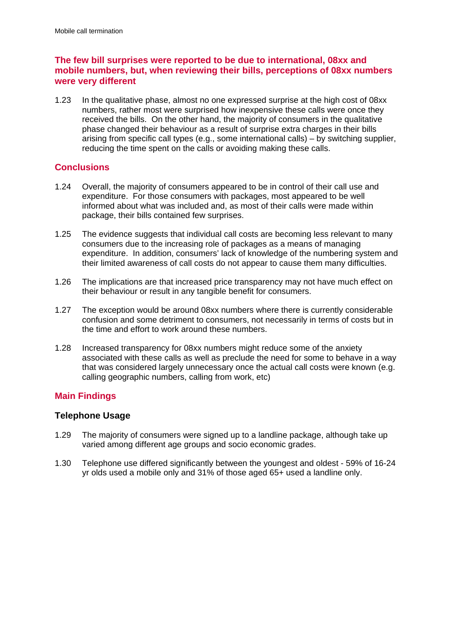# **The few bill surprises were reported to be due to international, 08xx and mobile numbers, but, when reviewing their bills, perceptions of 08xx numbers were very different**

1.23 In the qualitative phase, almost no one expressed surprise at the high cost of 08xx numbers, rather most were surprised how inexpensive these calls were once they received the bills. On the other hand, the majority of consumers in the qualitative phase changed their behaviour as a result of surprise extra charges in their bills arising from specific call types (e.g., some international calls) – by switching supplier, reducing the time spent on the calls or avoiding making these calls.

# **Conclusions**

- 1.24 Overall, the majority of consumers appeared to be in control of their call use and expenditure. For those consumers with packages, most appeared to be well informed about what was included and, as most of their calls were made within package, their bills contained few surprises.
- 1.25 The evidence suggests that individual call costs are becoming less relevant to many consumers due to the increasing role of packages as a means of managing expenditure. In addition, consumers' lack of knowledge of the numbering system and their limited awareness of call costs do not appear to cause them many difficulties.
- 1.26 The implications are that increased price transparency may not have much effect on their behaviour or result in any tangible benefit for consumers.
- 1.27 The exception would be around 08xx numbers where there is currently considerable confusion and some detriment to consumers, not necessarily in terms of costs but in the time and effort to work around these numbers.
- 1.28 Increased transparency for 08xx numbers might reduce some of the anxiety associated with these calls as well as preclude the need for some to behave in a way that was considered largely unnecessary once the actual call costs were known (e.g. calling geographic numbers, calling from work, etc)

# **Main Findings**

# **Telephone Usage**

- 1.29 The majority of consumers were signed up to a landline package, although take up varied among different age groups and socio economic grades.
- 1.30 Telephone use differed significantly between the youngest and oldest 59% of 16-24 yr olds used a mobile only and 31% of those aged 65+ used a landline only.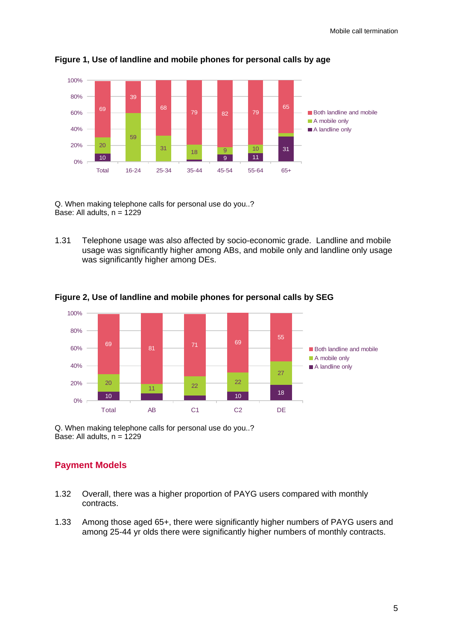

**Figure 1, Use of landline and mobile phones for personal calls by age** 

Q. When making telephone calls for personal use do you..? Base: All adults,  $n = 1229$ 

1.31 Telephone usage was also affected by socio-economic grade. Landline and mobile usage was significantly higher among ABs, and mobile only and landline only usage was significantly higher among DEs.



**Figure 2, Use of landline and mobile phones for personal calls by SEG** 

Q. When making telephone calls for personal use do you..? Base: All adults,  $n = 1229$ 

# **Payment Models**

- 1.32 Overall, there was a higher proportion of PAYG users compared with monthly contracts.
- 1.33 Among those aged 65+, there were significantly higher numbers of PAYG users and among 25-44 yr olds there were significantly higher numbers of monthly contracts.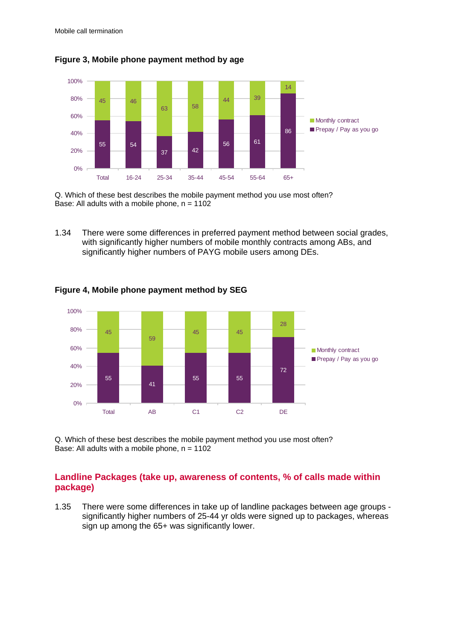

**Figure 3, Mobile phone payment method by age** 

Q. Which of these best describes the mobile payment method you use most often? Base: All adults with a mobile phone,  $n = 1102$ 

1.34 There were some differences in preferred payment method between social grades, with significantly higher numbers of mobile monthly contracts among ABs, and significantly higher numbers of PAYG mobile users among DEs.



**Figure 4, Mobile phone payment method by SEG** 

Q. Which of these best describes the mobile payment method you use most often? Base: All adults with a mobile phone,  $n = 1102$ 

# **Landline Packages (take up, awareness of contents, % of calls made within package)**

1.35 There were some differences in take up of landline packages between age groups significantly higher numbers of 25-44 yr olds were signed up to packages, whereas sign up among the 65+ was significantly lower.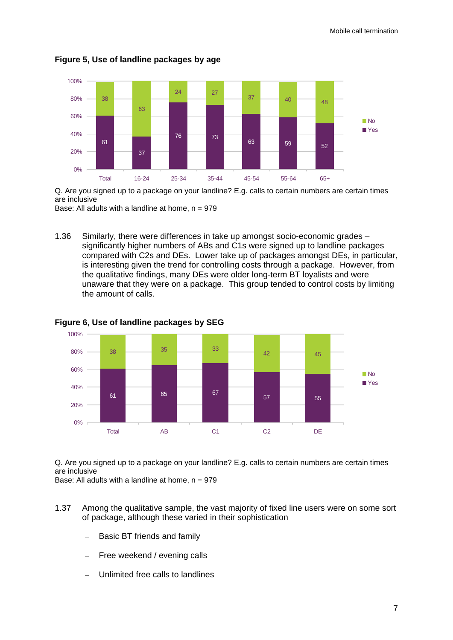

**Figure 5, Use of landline packages by age** 

Q. Are you signed up to a package on your landline? E.g. calls to certain numbers are certain times are inclusive

Base: All adults with a landline at home,  $n = 979$ 

1.36 Similarly, there were differences in take up amongst socio-economic grades – significantly higher numbers of ABs and C1s were signed up to landline packages compared with C2s and DEs. Lower take up of packages amongst DEs, in particular, is interesting given the trend for controlling costs through a package. However, from the qualitative findings, many DEs were older long-term BT loyalists and were unaware that they were on a package. This group tended to control costs by limiting the amount of calls.



**Figure 6, Use of landline packages by SEG** 

Q. Are you signed up to a package on your landline? E.g. calls to certain numbers are certain times are inclusive

Base: All adults with a landline at home,  $n = 979$ 

- 1.37 Among the qualitative sample, the vast majority of fixed line users were on some sort of package, although these varied in their sophistication
	- Basic BT friends and family
	- Free weekend / evening calls
	- Unlimited free calls to landlines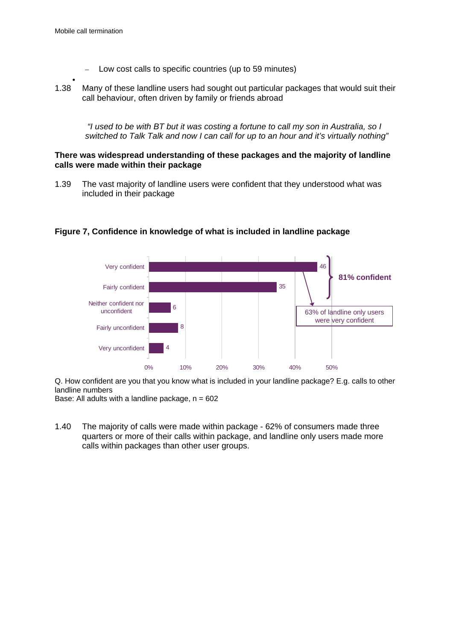- Low cost calls to specific countries (up to 59 minutes)
- 
- $\bullet$ 1.38 Many of these landline users had sought out particular packages that would suit their call behaviour, often driven by family or friends abroad

 *"I used to be with BT but it was costing a fortune to call my son in Australia, so I switched to Talk Talk and now I can call for up to an hour and it's virtually nothing"* 

#### **There was widespread understanding of these packages and the majority of landline calls were made within their package**

1.39 The vast majority of landline users were confident that they understood what was included in their package



## **Figure 7, Confidence in knowledge of what is included in landline package**

Q. How confident are you that you know what is included in your landline package? E.g. calls to other landline numbers

Base: All adults with a landline package,  $n = 602$ 

1.40 The majority of calls were made within package - 62% of consumers made three quarters or more of their calls within package, and landline only users made more calls within packages than other user groups.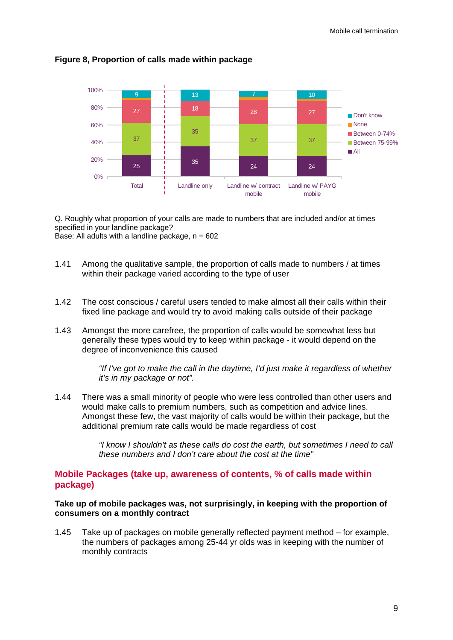

## **Figure 8, Proportion of calls made within package**

Q. Roughly what proportion of your calls are made to numbers that are included and/or at times specified in your landline package?

Base: All adults with a landline package,  $n = 602$ 

- 1.41 Among the qualitative sample, the proportion of calls made to numbers / at times within their package varied according to the type of user
- 1.42 The cost conscious / careful users tended to make almost all their calls within their fixed line package and would try to avoid making calls outside of their package
- 1.43 Amongst the more carefree, the proportion of calls would be somewhat less but generally these types would try to keep within package - it would depend on the degree of inconvenience this caused

*"If I've got to make the call in the daytime, I'd just make it regardless of whether it's in my package or not".* 

1.44 There was a small minority of people who were less controlled than other users and would make calls to premium numbers, such as competition and advice lines. Amongst these few, the vast majority of calls would be within their package, but the additional premium rate calls would be made regardless of cost

> *"I know I shouldn't as these calls do cost the earth, but sometimes I need to call these numbers and I don't care about the cost at the time"*

# **Mobile Packages (take up, awareness of contents, % of calls made within package)**

## **Take up of mobile packages was, not surprisingly, in keeping with the proportion of consumers on a monthly contract**

1.45 Take up of packages on mobile generally reflected payment method – for example, the numbers of packages among 25-44 yr olds was in keeping with the number of monthly contracts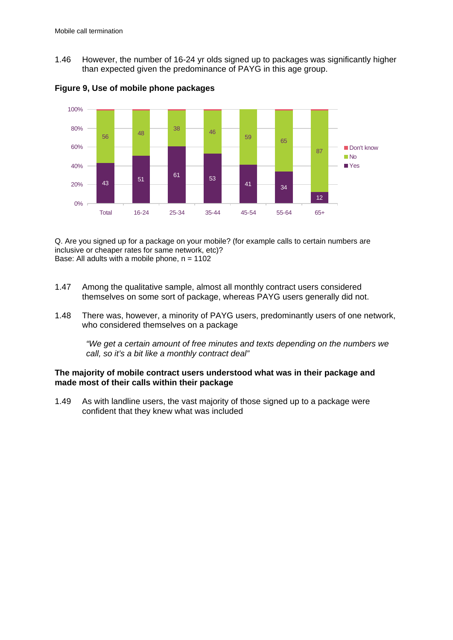1.46 However, the number of 16-24 yr olds signed up to packages was significantly higher than expected given the predominance of PAYG in this age group.



**Figure 9, Use of mobile phone packages** 

Q. Are you signed up for a package on your mobile? (for example calls to certain numbers are inclusive or cheaper rates for same network, etc)? Base: All adults with a mobile phone,  $n = 1102$ 

- 1.47 Among the qualitative sample, almost all monthly contract users considered themselves on some sort of package, whereas PAYG users generally did not.
- 1.48 There was, however, a minority of PAYG users, predominantly users of one network, who considered themselves on a package

*"We get a certain amount of free minutes and texts depending on the numbers we call, so it's a bit like a monthly contract deal"* 

**The majority of mobile contract users understood what was in their package and made most of their calls within their package** 

1.49 As with landline users, the vast majority of those signed up to a package were confident that they knew what was included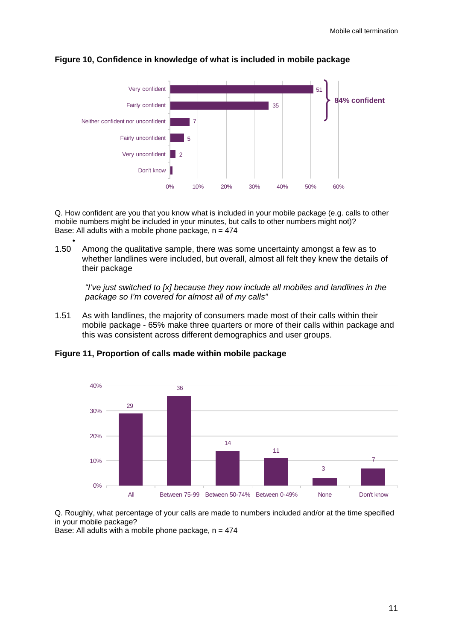

#### **Figure 10, Confidence in knowledge of what is included in mobile package**

Q. How confident are you that you know what is included in your mobile package (e.g. calls to other mobile numbers might be included in your minutes, but calls to other numbers might not)? Base: All adults with a mobile phone package,  $n = 474$ 

1.50 Among the qualitative sample, there was some uncertainty amongst a few as to whether landlines were included, but overall, almost all felt they knew the details of their package

*"I've just switched to [x] because they now include all mobiles and landlines in the package so I'm covered for almost all of my calls"* 

1.51 As with landlines, the majority of consumers made most of their calls within their mobile package - 65% make three quarters or more of their calls within package and this was consistent across different demographics and user groups.

**Figure 11, Proportion of calls made within mobile package**

 $\bullet$ 



Q. Roughly, what percentage of your calls are made to numbers included and/or at the time specified in your mobile package?

Base: All adults with a mobile phone package,  $n = 474$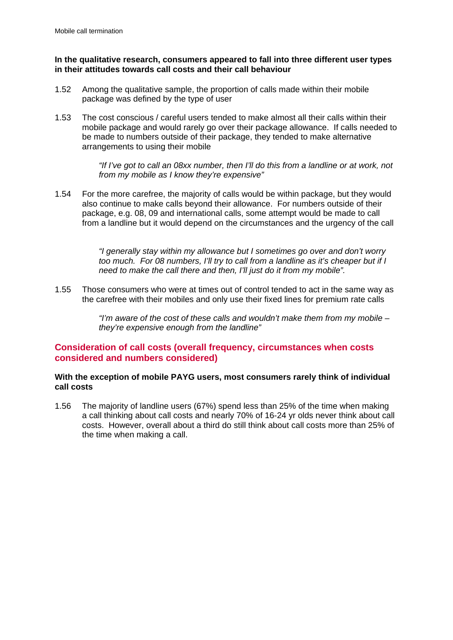## **In the qualitative research, consumers appeared to fall into three different user types in their attitudes towards call costs and their call behaviour**

- 1.52 Among the qualitative sample, the proportion of calls made within their mobile package was defined by the type of user
- 1.53 The cost conscious / careful users tended to make almost all their calls within their mobile package and would rarely go over their package allowance. If calls needed to be made to numbers outside of their package, they tended to make alternative arrangements to using their mobile

*"If I've got to call an 08xx number, then I'll do this from a landline or at work, not from my mobile as I know they're expensive"* 

1.54 For the more carefree, the majority of calls would be within package, but they would also continue to make calls beyond their allowance. For numbers outside of their package, e.g. 08, 09 and international calls, some attempt would be made to call from a landline but it would depend on the circumstances and the urgency of the call

> *"I generally stay within my allowance but I sometimes go over and don't worry too much. For 08 numbers, I'll try to call from a landline as it's cheaper but if I need to make the call there and then, I'll just do it from my mobile".*

1.55 Those consumers who were at times out of control tended to act in the same way as the carefree with their mobiles and only use their fixed lines for premium rate calls

> *"I'm aware of the cost of these calls and wouldn't make them from my mobile – they're expensive enough from the landline"*

## **Consideration of call costs (overall frequency, circumstances when costs considered and numbers considered)**

## **With the exception of mobile PAYG users, most consumers rarely think of individual call costs**

1.56 The majority of landline users (67%) spend less than 25% of the time when making a call thinking about call costs and nearly 70% of 16-24 yr olds never think about call costs. However, overall about a third do still think about call costs more than 25% of the time when making a call.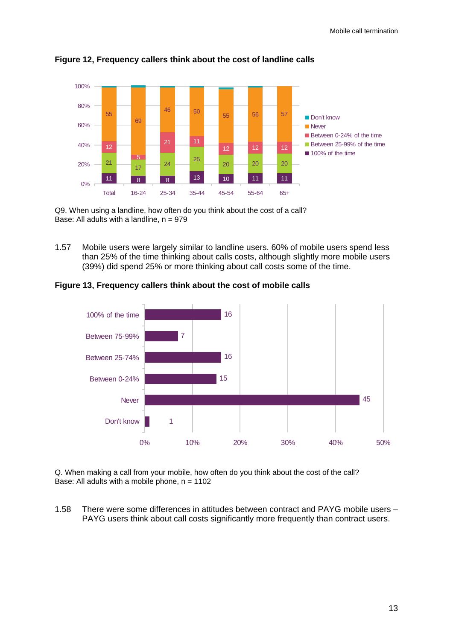

**Figure 12, Frequency callers think about the cost of landline calls**

Q9. When using a landline, how often do you think about the cost of a call? Base: All adults with a landline,  $n = 979$ 

1.57 Mobile users were largely similar to landline users. 60% of mobile users spend less than 25% of the time thinking about calls costs, although slightly more mobile users (39%) did spend 25% or more thinking about call costs some of the time.

**Figure 13, Frequency callers think about the cost of mobile calls**



Q. When making a call from your mobile, how often do you think about the cost of the call? Base: All adults with a mobile phone,  $n = 1102$ 

1.58 There were some differences in attitudes between contract and PAYG mobile users – PAYG users think about call costs significantly more frequently than contract users.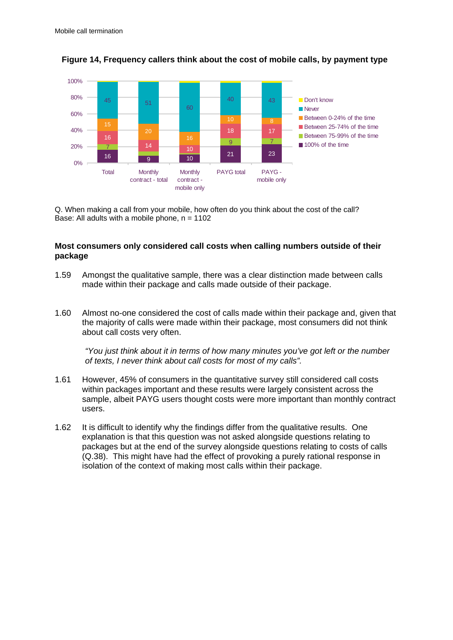

**Figure 14, Frequency callers think about the cost of mobile calls, by payment type**

Q. When making a call from your mobile, how often do you think about the cost of the call? Base: All adults with a mobile phone,  $n = 1102$ 

## **Most consumers only considered call costs when calling numbers outside of their package**

- 1.59 Amongst the qualitative sample, there was a clear distinction made between calls made within their package and calls made outside of their package.
- 1.60 Almost no-one considered the cost of calls made within their package and, given that the majority of calls were made within their package, most consumers did not think about call costs very often.

*"You just think about it in terms of how many minutes you've got left or the number of texts, I never think about call costs for most of my calls".* 

- 1.61 However, 45% of consumers in the quantitative survey still considered call costs within packages important and these results were largely consistent across the sample, albeit PAYG users thought costs were more important than monthly contract users.
- 1.62 It is difficult to identify why the findings differ from the qualitative results. One explanation is that this question was not asked alongside questions relating to packages but at the end of the survey alongside questions relating to costs of calls (Q.38). This might have had the effect of provoking a purely rational response in isolation of the context of making most calls within their package.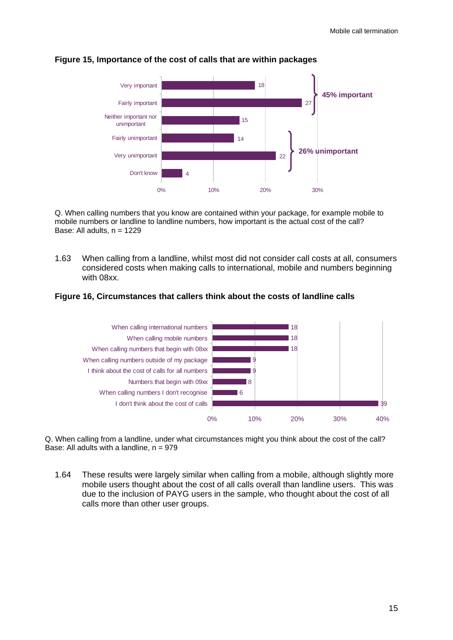

#### **Figure 15, Importance of the cost of calls that are within packages**

Q. When calling numbers that you know are contained within your package, for example mobile to mobile numbers or landline to landline numbers, how important is the actual cost of the call? Base: All adults,  $n = 1229$ 

1.63 When calling from a landline, whilst most did not consider call costs at all, consumers considered costs when making calls to international, mobile and numbers beginning with 08xx.

#### **Figure 16, Circumstances that callers think about the costs of landline calls**



Q. When calling from a landline, under what circumstances might you think about the cost of the call? Base: All adults with a landline,  $n = 979$ 

1.64 These results were largely similar when calling from a mobile, although slightly more mobile users thought about the cost of all calls overall than landline users. This was due to the inclusion of PAYG users in the sample, who thought about the cost of all calls more than other user groups.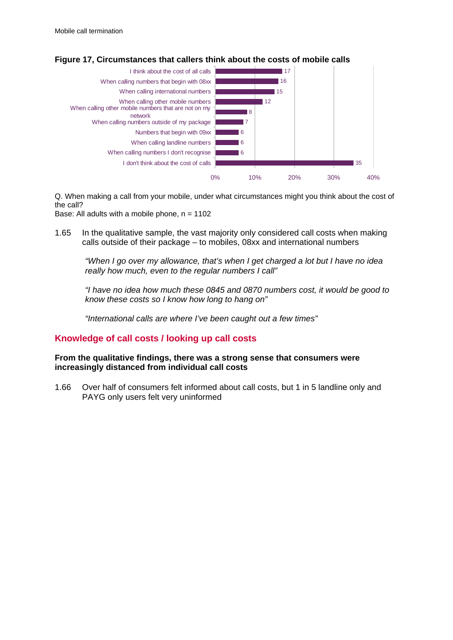

**Figure 17, Circumstances that callers think about the costs of mobile calls**

Q. When making a call from your mobile, under what circumstances might you think about the cost of the call?

Base: All adults with a mobile phone,  $n = 1102$ 

1.65 In the qualitative sample, the vast majority only considered call costs when making calls outside of their package – to mobiles, 08xx and international numbers

*"When I go over my allowance, that's when I get charged a lot but I have no idea really how much, even to the regular numbers I call"* 

*"I have no idea how much these 0845 and 0870 numbers cost, it would be good to know these costs so I know how long to hang on"* 

*"International calls are where I've been caught out a few times"* 

# **Knowledge of call costs / looking up call costs**

**From the qualitative findings, there was a strong sense that consumers were increasingly distanced from individual call costs** 

1.66 Over half of consumers felt informed about call costs, but 1 in 5 landline only and PAYG only users felt very uninformed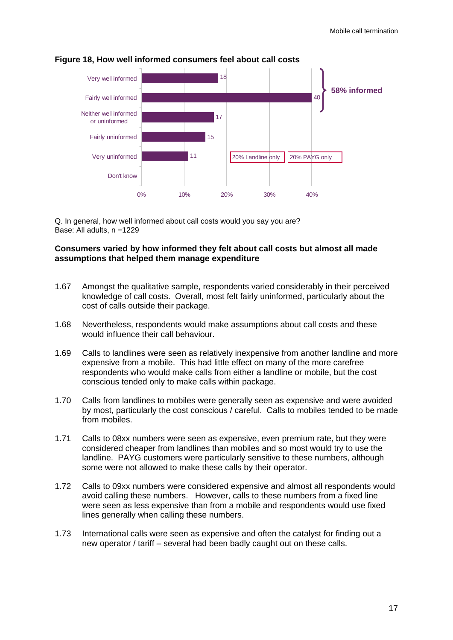

#### **Figure 18, How well informed consumers feel about call costs**

Q. In general, how well informed about call costs would you say you are? Base: All adults, n =1229

## **Consumers varied by how informed they felt about call costs but almost all made assumptions that helped them manage expenditure**

- 1.67 Amongst the qualitative sample, respondents varied considerably in their perceived knowledge of call costs. Overall, most felt fairly uninformed, particularly about the cost of calls outside their package.
- 1.68 Nevertheless, respondents would make assumptions about call costs and these would influence their call behaviour.
- 1.69 Calls to landlines were seen as relatively inexpensive from another landline and more expensive from a mobile. This had little effect on many of the more carefree respondents who would make calls from either a landline or mobile, but the cost conscious tended only to make calls within package.
- 1.70 Calls from landlines to mobiles were generally seen as expensive and were avoided by most, particularly the cost conscious / careful. Calls to mobiles tended to be made from mobiles.
- 1.71 Calls to 08xx numbers were seen as expensive, even premium rate, but they were considered cheaper from landlines than mobiles and so most would try to use the landline. PAYG customers were particularly sensitive to these numbers, although some were not allowed to make these calls by their operator.
- 1.72 Calls to 09xx numbers were considered expensive and almost all respondents would avoid calling these numbers. However, calls to these numbers from a fixed line were seen as less expensive than from a mobile and respondents would use fixed lines generally when calling these numbers.
- 1.73 International calls were seen as expensive and often the catalyst for finding out a new operator / tariff – several had been badly caught out on these calls.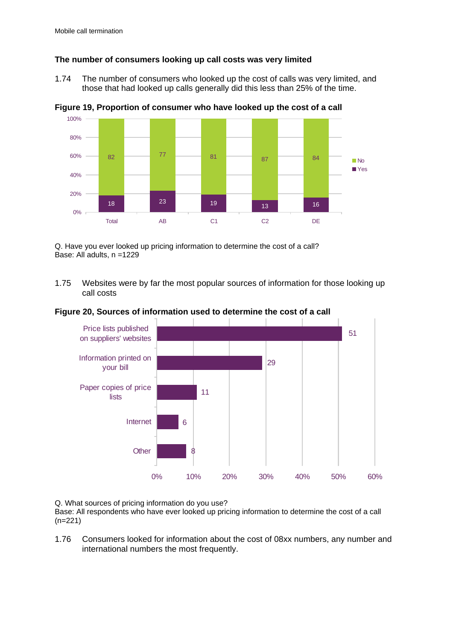# **The number of consumers looking up call costs was very limited**

1.74 The number of consumers who looked up the cost of calls was very limited, and those that had looked up calls generally did this less than 25% of the time.



**Figure 19, Proportion of consumer who have looked up the cost of a call** 

Q. Have you ever looked up pricing information to determine the cost of a call? Base: All adults, n =1229

1.75 Websites were by far the most popular sources of information for those looking up call costs





Q. What sources of pricing information do you use?

Base: All respondents who have ever looked up pricing information to determine the cost of a call (n=221)

1.76 Consumers looked for information about the cost of 08xx numbers, any number and international numbers the most frequently.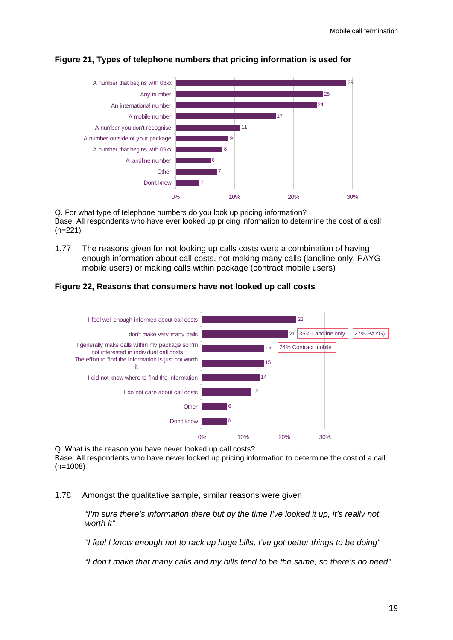

# **Figure 21, Types of telephone numbers that pricing information is used for**

Q. For what type of telephone numbers do you look up pricing information? Base: All respondents who have ever looked up pricing information to determine the cost of a call (n=221)

1.77 The reasons given for not looking up calls costs were a combination of having enough information about call costs, not making many calls (landline only, PAYG mobile users) or making calls within package (contract mobile users)

## **Figure 22, Reasons that consumers have not looked up call costs**



Q. What is the reason you have never looked up call costs? Base: All respondents who have never looked up pricing information to determine the cost of a call (n=1008)

## 1.78 Amongst the qualitative sample, similar reasons were given

*"I'm sure there's information there but by the time I've looked it up, it's really not worth it"* 

*"I feel I know enough not to rack up huge bills, I've got better things to be doing"* 

*"I don't make that many calls and my bills tend to be the same, so there's no need"*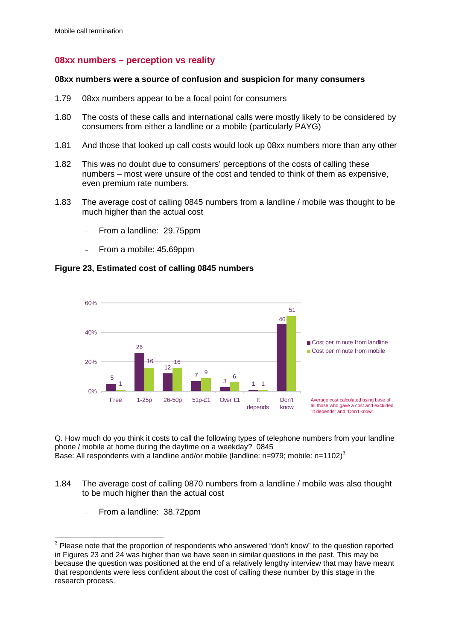# **08xx numbers – perception vs reality**

#### **08xx numbers were a source of confusion and suspicion for many consumers**

- 1.79 08xx numbers appear to be a focal point for consumers
- 1.80 The costs of these calls and international calls were mostly likely to be considered by consumers from either a landline or a mobile (particularly PAYG)
- 1.81 And those that looked up call costs would look up 08xx numbers more than any other
- 1.82 This was no doubt due to consumers' perceptions of the costs of calling these numbers – most were unsure of the cost and tended to think of them as expensive, even premium rate numbers.
- 1.83 The average cost of calling 0845 numbers from a landline / mobile was thought to be much higher than the actual cost
	- From a landline: 29.75ppm
	- From a mobile: 45.69ppm

## **Figure 23, Estimated cost of calling 0845 numbers**



Q. How much do you think it costs to call the following types of telephone numbers from your landline phone / mobile at home during the daytime on a weekday? 0845 Base: All respondents with a landline and/or mobile (landline:  $n=979$ ; mobile:  $n=1102$ )<sup>3</sup>

- 1.84 The average cost of calling 0870 numbers from a landline / mobile was also thought to be much higher than the actual cost
	- From a landline: 38.72ppm

 3 Please note that the proportion of respondents who answered "don't know" to the question reported in Figures 23 and 24 was higher than we have seen in similar questions in the past. This may be because the question was positioned at the end of a relatively lengthy interview that may have meant that respondents were less confident about the cost of calling these number by this stage in the research process.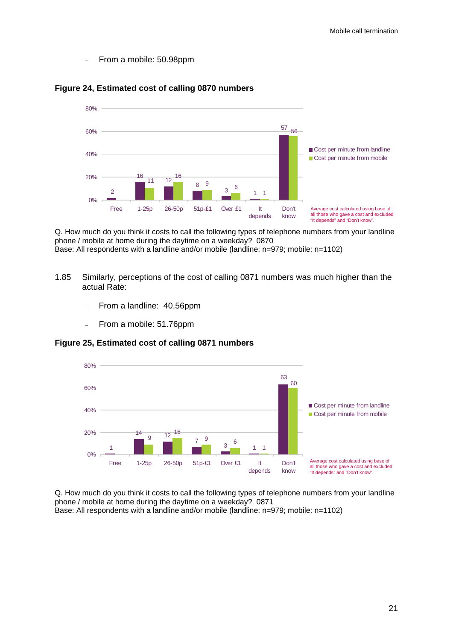– From a mobile: 50.98ppm



#### **Figure 24, Estimated cost of calling 0870 numbers**

Q. How much do you think it costs to call the following types of telephone numbers from your landline phone / mobile at home during the daytime on a weekday? 0870 Base: All respondents with a landline and/or mobile (landline: n=979; mobile: n=1102)

- 1.85 Similarly, perceptions of the cost of calling 0871 numbers was much higher than the actual Rate:
	- From a landline: 40.56ppm
	- From a mobile: 51.76ppm

**Figure 25, Estimated cost of calling 0871 numbers** 



Q. How much do you think it costs to call the following types of telephone numbers from your landline phone / mobile at home during the daytime on a weekday? 0871 Base: All respondents with a landline and/or mobile (landline: n=979; mobile: n=1102)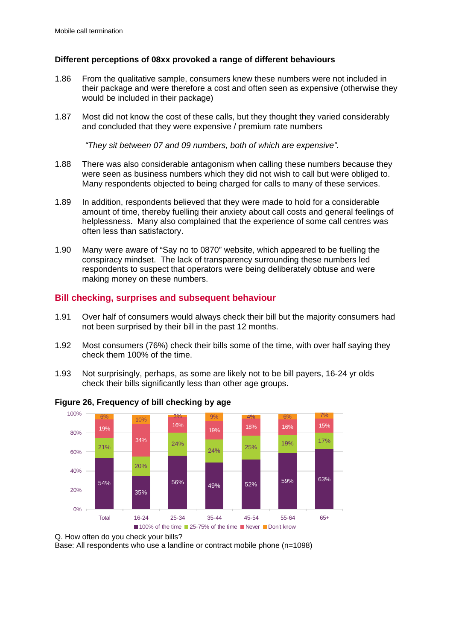## **Different perceptions of 08xx provoked a range of different behaviours**

- 1.86 From the qualitative sample, consumers knew these numbers were not included in their package and were therefore a cost and often seen as expensive (otherwise they would be included in their package)
- 1.87 Most did not know the cost of these calls, but they thought they varied considerably and concluded that they were expensive / premium rate numbers

*"They sit between 07 and 09 numbers, both of which are expensive".* 

- 1.88 There was also considerable antagonism when calling these numbers because they were seen as business numbers which they did not wish to call but were obliged to. Many respondents objected to being charged for calls to many of these services.
- 1.89 In addition, respondents believed that they were made to hold for a considerable amount of time, thereby fuelling their anxiety about call costs and general feelings of helplessness. Many also complained that the experience of some call centres was often less than satisfactory.
- 1.90 Many were aware of "Say no to 0870" website, which appeared to be fuelling the conspiracy mindset. The lack of transparency surrounding these numbers led respondents to suspect that operators were being deliberately obtuse and were making money on these numbers.

# **Bill checking, surprises and subsequent behaviour**

- 1.91 Over half of consumers would always check their bill but the majority consumers had not been surprised by their bill in the past 12 months.
- 1.92 Most consumers (76%) check their bills some of the time, with over half saying they check them 100% of the time.
- 1.93 Not surprisingly, perhaps, as some are likely not to be bill payers, 16-24 yr olds check their bills significantly less than other age groups.



**Figure 26, Frequency of bill checking by age** 

Base: All respondents who use a landline or contract mobile phone (n=1098)

Q. How often do you check your bills?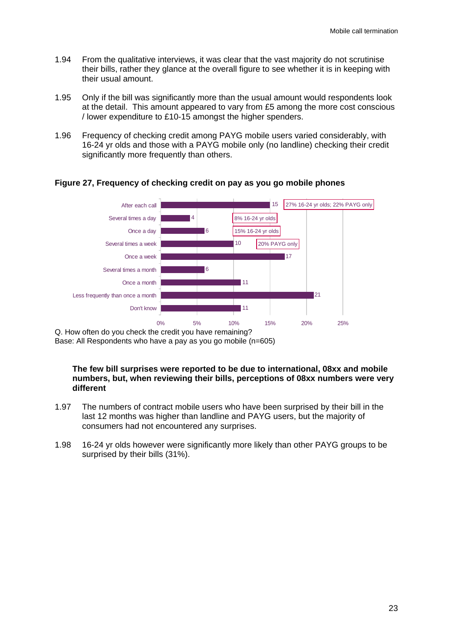- 1.94 From the qualitative interviews, it was clear that the vast majority do not scrutinise their bills, rather they glance at the overall figure to see whether it is in keeping with their usual amount.
- 1.95 Only if the bill was significantly more than the usual amount would respondents look at the detail. This amount appeared to vary from £5 among the more cost conscious / lower expenditure to £10-15 amongst the higher spenders.
- 1.96 Frequency of checking credit among PAYG mobile users varied considerably, with 16-24 yr olds and those with a PAYG mobile only (no landline) checking their credit significantly more frequently than others.



## **Figure 27, Frequency of checking credit on pay as you go mobile phones**

Q. How often do you check the credit you have remaining? Base: All Respondents who have a pay as you go mobile (n=605)

#### **The few bill surprises were reported to be due to international, 08xx and mobile numbers, but, when reviewing their bills, perceptions of 08xx numbers were very different**

- 1.97 The numbers of contract mobile users who have been surprised by their bill in the last 12 months was higher than landline and PAYG users, but the majority of consumers had not encountered any surprises.
- 1.98 16-24 yr olds however were significantly more likely than other PAYG groups to be surprised by their bills (31%).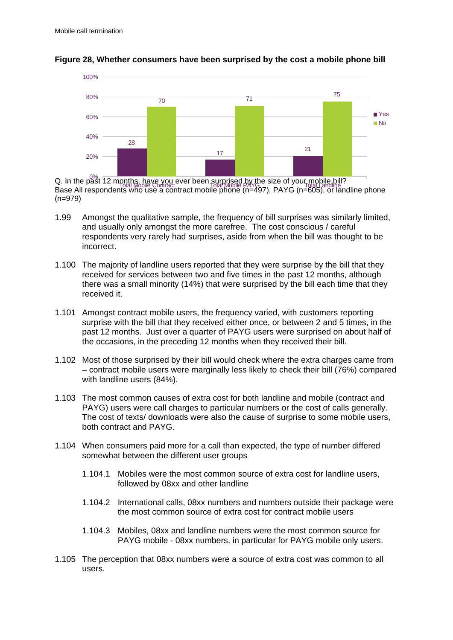

#### **Figure 28, Whether consumers have been surprised by the cost a mobile phone bill**

Q. In the past 12 months, have you ever been surprised by the size of your mobile bill? Base All respondents who use a contract mobile phone (n=497), PAYG (n=605), or landline phone (n=979) Total Mobile Contract Total Mobile PAYG Total Mobile PAYG Total Landline

- 1.99 Amongst the qualitative sample, the frequency of bill surprises was similarly limited, and usually only amongst the more carefree. The cost conscious / careful respondents very rarely had surprises, aside from when the bill was thought to be incorrect.
- 1.100 The majority of landline users reported that they were surprise by the bill that they received for services between two and five times in the past 12 months, although there was a small minority (14%) that were surprised by the bill each time that they received it.
- 1.101 Amongst contract mobile users, the frequency varied, with customers reporting surprise with the bill that they received either once, or between 2 and 5 times, in the past 12 months. Just over a quarter of PAYG users were surprised on about half of the occasions, in the preceding 12 months when they received their bill.
- 1.102 Most of those surprised by their bill would check where the extra charges came from – contract mobile users were marginally less likely to check their bill (76%) compared with landline users (84%).
- 1.103 The most common causes of extra cost for both landline and mobile (contract and PAYG) users were call charges to particular numbers or the cost of calls generally. The cost of texts/ downloads were also the cause of surprise to some mobile users, both contract and PAYG.
- 1.104 When consumers paid more for a call than expected, the type of number differed somewhat between the different user groups
	- 1.104.1 Mobiles were the most common source of extra cost for landline users, followed by 08xx and other landline
	- 1.104.2 International calls, 08xx numbers and numbers outside their package were the most common source of extra cost for contract mobile users
	- 1.104.3 Mobiles, 08xx and landline numbers were the most common source for PAYG mobile - 08xx numbers, in particular for PAYG mobile only users.
- 1.105 The perception that 08xx numbers were a source of extra cost was common to all users.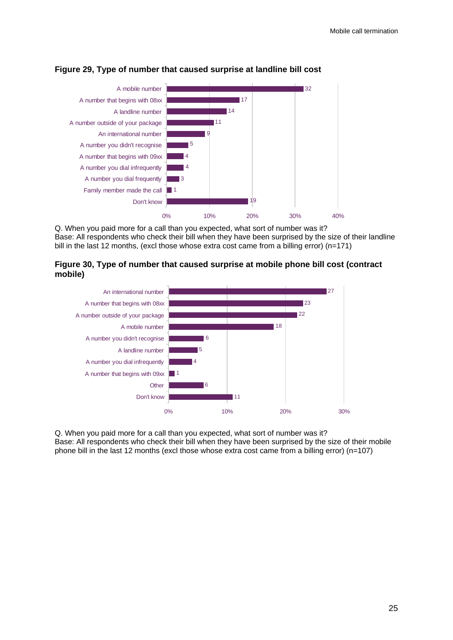

## **Figure 29, Type of number that caused surprise at landline bill cost**

Q. When you paid more for a call than you expected, what sort of number was it? Base: All respondents who check their bill when they have been surprised by the size of their landline bill in the last 12 months, (excl those whose extra cost came from a billing error) (n=171)





Q. When you paid more for a call than you expected, what sort of number was it? Base: All respondents who check their bill when they have been surprised by the size of their mobile phone bill in the last 12 months (excl those whose extra cost came from a billing error) (n=107)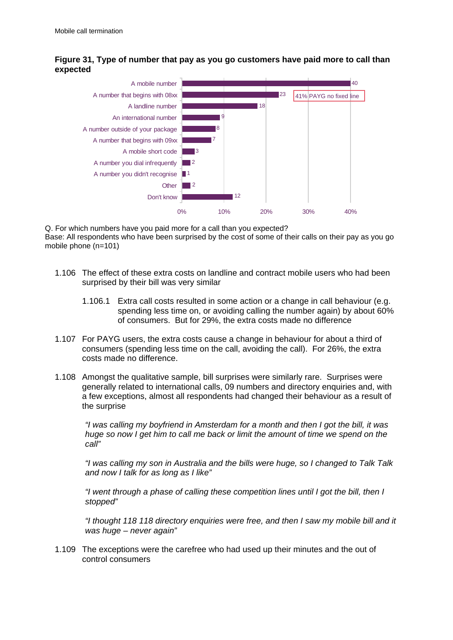# **Figure 31, Type of number that pay as you go customers have paid more to call than expected**



Q. For which numbers have you paid more for a call than you expected? Base: All respondents who have been surprised by the cost of some of their calls on their pay as you go mobile phone (n=101)

- 1.106 The effect of these extra costs on landline and contract mobile users who had been surprised by their bill was very similar
	- 1.106.1 Extra call costs resulted in some action or a change in call behaviour (e.g. spending less time on, or avoiding calling the number again) by about 60% of consumers. But for 29%, the extra costs made no difference
- 1.107 For PAYG users, the extra costs cause a change in behaviour for about a third of consumers (spending less time on the call, avoiding the call). For 26%, the extra costs made no difference.
- 1.108 Amongst the qualitative sample, bill surprises were similarly rare. Surprises were generally related to international calls, 09 numbers and directory enquiries and, with a few exceptions, almost all respondents had changed their behaviour as a result of the surprise

*"I was calling my boyfriend in Amsterdam for a month and then I got the bill, it was huge so now I get him to call me back or limit the amount of time we spend on the call"* 

*"I was calling my son in Australia and the bills were huge, so I changed to Talk Talk and now I talk for as long as I like"* 

*"I went through a phase of calling these competition lines until I got the bill, then I stopped"* 

*"I thought 118 118 directory enquiries were free, and then I saw my mobile bill and it was huge – never again"* 

1.109 The exceptions were the carefree who had used up their minutes and the out of control consumers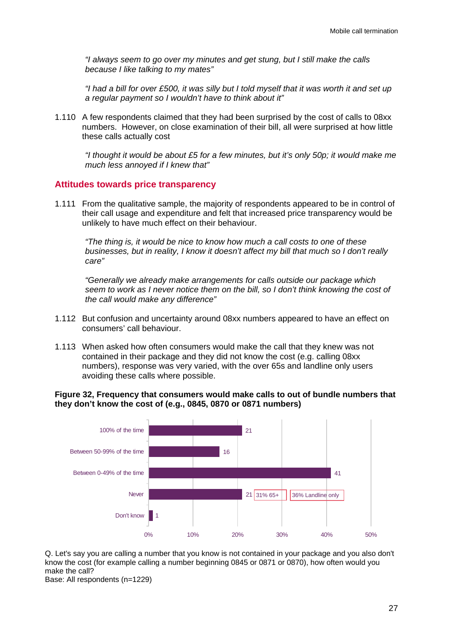*"I always seem to go over my minutes and get stung, but I still make the calls because I like talking to my mates"* 

*"I had a bill for over £500, it was silly but I told myself that it was worth it and set up a regular payment so I wouldn't have to think about it"* 

1.110 A few respondents claimed that they had been surprised by the cost of calls to 08xx numbers. However, on close examination of their bill, all were surprised at how little these calls actually cost

*"I thought it would be about £5 for a few minutes, but it's only 50p; it would make me much less annoyed if I knew that"* 

## **Attitudes towards price transparency**

1.111 From the qualitative sample, the majority of respondents appeared to be in control of their call usage and expenditure and felt that increased price transparency would be unlikely to have much effect on their behaviour.

*"The thing is, it would be nice to know how much a call costs to one of these businesses, but in reality, I know it doesn't affect my bill that much so I don't really care"* 

*"Generally we already make arrangements for calls outside our package which seem to work as I never notice them on the bill, so I don't think knowing the cost of the call would make any difference"* 

- 1.112 But confusion and uncertainty around 08xx numbers appeared to have an effect on consumers' call behaviour.
- 1.113 When asked how often consumers would make the call that they knew was not contained in their package and they did not know the cost (e.g. calling 08xx numbers), response was very varied, with the over 65s and landline only users avoiding these calls where possible.

## **Figure 32, Frequency that consumers would make calls to out of bundle numbers that they don't know the cost of (e.g., 0845, 0870 or 0871 numbers)**



Q. Let's say you are calling a number that you know is not contained in your package and you also don't know the cost (for example calling a number beginning 0845 or 0871 or 0870), how often would you make the call?

Base: All respondents (n=1229)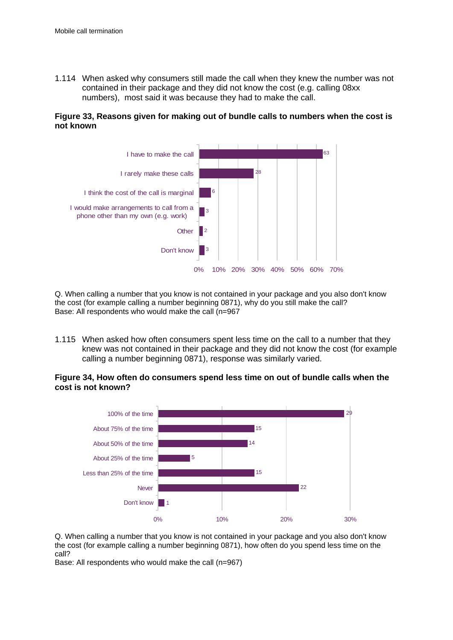1.114 When asked why consumers still made the call when they knew the number was not contained in their package and they did not know the cost (e.g. calling 08xx numbers), most said it was because they had to make the call.

## **Figure 33, Reasons given for making out of bundle calls to numbers when the cost is not known**



Q. When calling a number that you know is not contained in your package and you also don't know the cost (for example calling a number beginning 0871), why do you still make the call? Base: All respondents who would make the call (n=967

1.115 When asked how often consumers spent less time on the call to a number that they knew was not contained in their package and they did not know the cost (for example calling a number beginning 0871), response was similarly varied.

**Figure 34, How often do consumers spend less time on out of bundle calls when the cost is not known?** 



Q. When calling a number that you know is not contained in your package and you also don't know the cost (for example calling a number beginning 0871), how often do you spend less time on the call?

Base: All respondents who would make the call (n=967)